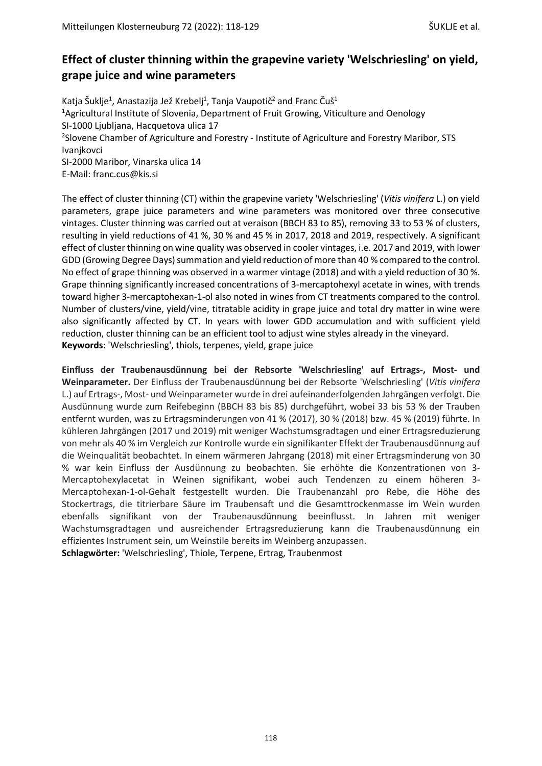# **Effect of cluster thinning within the grapevine variety 'Welschriesling' on yield, grape juice and wine parameters**

Katja Šuklje<sup>1</sup>, Anastazija Jež Krebelj<sup>1</sup>, Tanja Vaupotič<sup>2</sup> and Franc Čuš<sup>1</sup> <sup>1</sup> Agricultural Institute of Slovenia, Department of Fruit Growing, Viticulture and Oenology SI-1000 Ljubljana, Hacquetova ulica 17 <sup>2</sup>Slovene Chamber of Agriculture and Forestry - Institute of Agriculture and Forestry Maribor, STS Ivanjkovci SI-2000 Maribor, Vinarska ulica 14 E-Mail: franc.cus@kis.si

The effect of cluster thinning (CT) within the grapevine variety 'Welschriesling' (*Vitis vinifera* L.) on yield parameters, grape juice parameters and wine parameters was monitored over three consecutive vintages. Cluster thinning was carried out at veraison (BBCH 83 to 85), removing 33 to 53 % of clusters, resulting in yield reductions of 41 %, 30 % and 45 % in 2017, 2018 and 2019, respectively. A significant effect of cluster thinning on wine quality was observed in cooler vintages, i.e. 2017 and 2019, with lower GDD (Growing Degree Days) summation and yield reduction of more than 40 % compared to the control. No effect of grape thinning was observed in a warmer vintage (2018) and with a yield reduction of 30 %. Grape thinning significantly increased concentrations of 3-mercaptohexyl acetate in wines, with trends toward higher 3-mercaptohexan-1-ol also noted in wines from CT treatments compared to the control. Number of clusters/vine, yield/vine, titratable acidity in grape juice and total dry matter in wine were also significantly affected by CT. In years with lower GDD accumulation and with sufficient yield reduction, cluster thinning can be an efficient tool to adjust wine styles already in the vineyard. **Keywords**: 'Welschriesling', thiols, terpenes, yield, grape juice

**Einfluss der Traubenausdünnung bei der Rebsorte 'Welschriesling' auf Ertrags-, Most- und Weinparameter.** Der Einfluss der Traubenausdünnung bei der Rebsorte 'Welschriesling' (*Vitis vinifera* L.) auf Ertrags-, Most- und Weinparameter wurde in drei aufeinanderfolgenden Jahrgängen verfolgt. Die Ausdünnung wurde zum Reifebeginn (BBCH 83 bis 85) durchgeführt, wobei 33 bis 53 % der Trauben entfernt wurden, was zu Ertragsminderungen von 41 % (2017), 30 % (2018) bzw. 45 % (2019) führte. In kühleren Jahrgängen (2017 und 2019) mit weniger Wachstumsgradtagen und einer Ertragsreduzierung von mehr als 40 % im Vergleich zur Kontrolle wurde ein signifikanter Effekt der Traubenausdünnung auf die Weinqualität beobachtet. In einem wärmeren Jahrgang (2018) mit einer Ertragsminderung von 30 % war kein Einfluss der Ausdünnung zu beobachten. Sie erhöhte die Konzentrationen von 3- Mercaptohexylacetat in Weinen signifikant, wobei auch Tendenzen zu einem höheren 3- Mercaptohexan-1-ol-Gehalt festgestellt wurden. Die Traubenanzahl pro Rebe, die Höhe des Stockertrags, die titrierbare Säure im Traubensaft und die Gesamttrockenmasse im Wein wurden ebenfalls signifikant von der Traubenausdünnung beeinflusst. In Jahren mit weniger Wachstumsgradtagen und ausreichender Ertragsreduzierung kann die Traubenausdünnung ein effizientes Instrument sein, um Weinstile bereits im Weinberg anzupassen. **Schlagwörter:** 'Welschriesling', Thiole, Terpene, Ertrag, Traubenmost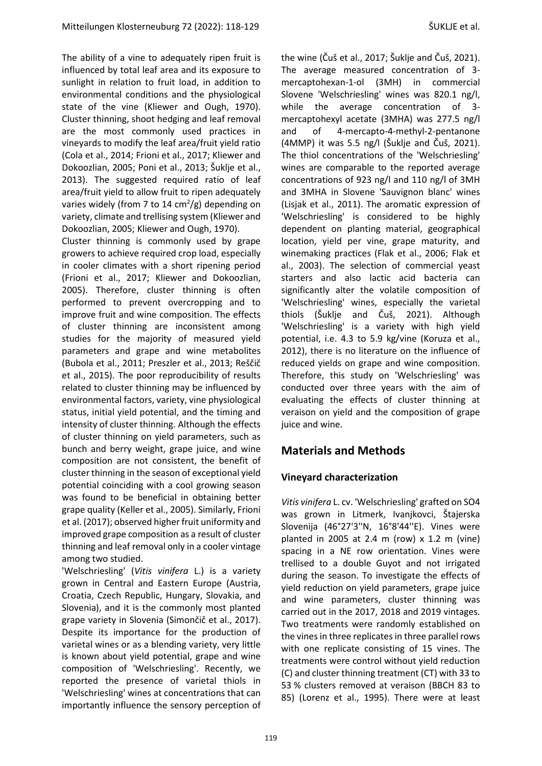The ability of a vine to adequately ripen fruit is influenced by total leaf area and its exposure to sunlight in relation to fruit load, in addition to environmental conditions and the physiological state of the vine [\(Kliewer](#page-10-0) and Ough, 1970). Cluster thinning, shoot hedging and leaf removal are the most commonly used practices in vineyards to modify the leaf area/fruit yield ratio (Cola et al., [2014;](#page-9-0) [Frioni](#page-9-1) et al., 2017; [Kliewer](#page-10-1) and [Dokoozlian,](#page-10-1) 2005; Poni et al., [2013;](#page-10-2) [Šuklje](#page-11-0) et al., [2013\)](#page-11-0). The suggested required ratio of leaf area/fruit yield to allow fruit to ripen adequately varies widely (from 7 to 14 cm<sup>2</sup>/g) depending on variety, climate and trellising system [\(Kliewer](#page-10-1) and [Dokoozlian,](#page-10-1) 2005; [Kliewer](#page-10-0) and Ough, 1970).

Cluster thinning is commonly used by grape growers to achieve required crop load, especially in cooler climates with a short ripening period [\(Frioni](#page-9-1) et al., 2017; Kliewer and [Dokoozlian,](#page-10-1) [2005\)](#page-10-1). Therefore, cluster thinning is often performed to prevent overcropping and to improve fruit and wine composition. The effects of cluster thinning are inconsistent among studies for the majority of measured yield parameters and grape and wine metabolites [\(Bubola](#page-9-2) et al., 2011; [Preszler](#page-10-3) et al., 2013; [Reščič](#page-10-4) et al., [2015\)](#page-10-4). The poor reproducibility of results related to cluster thinning may be influenced by environmental factors, variety, vine physiological status, initial yield potential, and the timing and intensity of cluster thinning. Although the effects of cluster thinning on yield parameters, such as bunch and berry weight, grape juice, and wine composition are not consistent, the benefit of cluster thinning in the season of exceptional yield potential coinciding with a cool growing season was found to be beneficial in obtaining better grape quality [\(Keller](#page-10-5) et al., 2005). Similarly, [Frioni](#page-9-1) et al. (2017); observed higher fruit uniformity and improved grape composition as a result of cluster thinning and leaf removal only in a cooler vintage among two studied.

'Welschriesling' (*Vitis vinifera* L.) is a variety grown in Central and Eastern Europe (Austria, Croatia, Czech Republic, Hungary, Slovakia, and Slovenia), and it is the commonly most planted grape variety in Slovenia [\(Simončič](#page-11-1) et al., 2017). Despite its importance for the production of varietal wines or as a blending variety, very little is known about yield potential, grape and wine composition of 'Welschriesling'. Recently, we reported the presence of varietal thiols in 'Welschriesling' wines at concentrations that can importantly influence the sensory perception of the wine (Čuš et al., [2017;](#page-9-3) Šuklje and Čuš, 2021). The average measured concentration of 3 mercaptohexan-1-ol (3MH) in commercial Slovene 'Welschriesling' wines was 820.1 ng/l, while the average concentration of 3 mercaptohexyl acetate (3MHA) was 277.5 ng/l and of 4-mercapto-4-methyl-2-pentanone (4MMP) it was 5.5 ng/l (Šuklje and Čuš, 2021). The thiol concentrations of the 'Welschriesling' wines are comparable to the reported average concentrations of 923 ng/l and 110 ng/l of 3MH and 3MHA in Slovene 'Sauvignon blanc' wines [\(Lisjak](#page-10-6) et al., 2011). The aromatic expression of 'Welschriesling' is considered to be highly dependent on planting material, geographical location, yield per vine, grape maturity, and winemaking practices (Flak et al., [2006;](#page-9-4) [Flak](#page-9-5) et al., [2003\)](#page-9-5). The selection of commercial yeast starters and also lactic acid bacteria can significantly alter the volatile composition of 'Welschriesling' wines, especially the varietal thiols (Šuklje and Čuš, 2021). Although 'Welschriesling' is a variety with high yield potential, i.e. 4.3 to 5.9 kg/vine [\(Koruza](#page-10-7) et al., [2012\)](#page-10-7), there is no literature on the influence of reduced yields on grape and wine composition. Therefore, this study on 'Welschriesling' was conducted over three years with the aim of evaluating the effects of cluster thinning at veraison on yield and the composition of grape juice and wine.

# **Materials and Methods**

#### **Vineyard characterization**

*Vitis vinifera* L. cv. 'Welschriesling' grafted on SO4 was grown in Litmerk, Ivanjkovci, Štajerska Slovenija (46°27'3''N, 16°8'44''E). Vines were planted in 2005 at 2.4 m (row) x 1.2 m (vine) spacing in a NE row orientation. Vines were trellised to a double Guyot and not irrigated during the season. To investigate the effects of yield reduction on yield parameters, grape juice and wine parameters, cluster thinning was carried out in the 2017, 2018 and 2019 vintages. Two treatments were randomly established on the vines in three replicates in three parallel rows with one replicate consisting of 15 vines. The treatments were control without yield reduction (C) and cluster thinning treatment (CT) with 33 to 53 % clusters removed at veraison (BBCH 83 to 85) [\(Lorenz](#page-10-8) et al., 1995). There were at least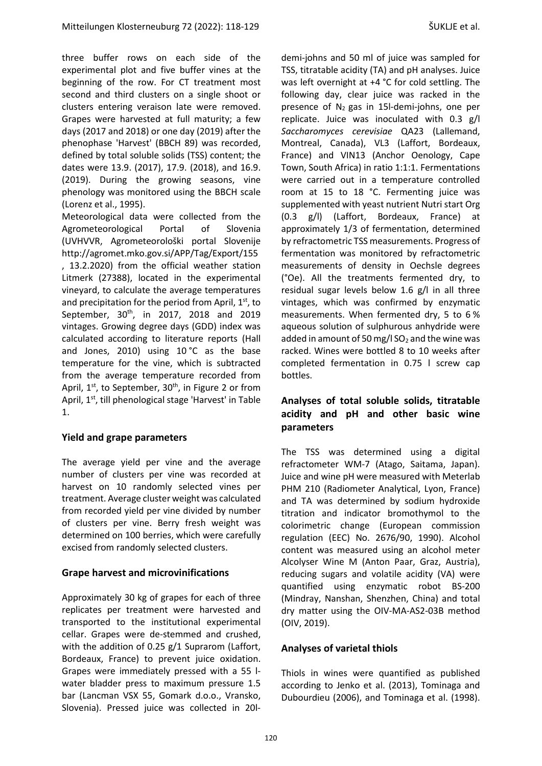three buffer rows on each side of the experimental plot and five buffer vines at the beginning of the row. For CT treatment most second and third clusters on a single shoot or clusters entering veraison late were removed. Grapes were harvested at full maturity; a few days (2017 and 2018) or one day (2019) after the phenophase 'Harvest' (BBCH 89) was recorded, defined by total soluble solids (TSS) content; the dates were 13.9. (2017), 17.9. (2018), and 16.9. (2019). During the growing seasons, vine phenology was monitored using the BBCH scale [\(Lorenz](#page-10-8) et al., 1995).

Meteorological data were collected from the Agrometeorological Portal of Slovenia (UVHVVR, Agrometeorološki portal Slovenije http://agromet.mko.gov.si/APP/Tag/Export/155 , 13.2.2020) from the official weather station Litmerk (27388), located in the experimental vineyard, to calculate the average temperatures and precipitation for the period from April, 1<sup>st</sup>, to September, 30<sup>th</sup>, in 2017, 2018 and 2019 vintages. Growing degree days (GDD) index was calculated according to literature reports [\(Hall](#page-9-6) and [Jones,](#page-9-6) 2010) using 10 °C as the base temperature for the vine, which is subtracted from the average temperature recorded from April, 1<sup>st</sup>, to September, 30<sup>th</sup>, in Figure 2 or from April, 1<sup>st</sup>, till phenological stage 'Harvest' in Table 1.

#### **Yield and grape parameters**

The average yield per vine and the average number of clusters per vine was recorded at harvest on 10 randomly selected vines per treatment. Average cluster weight was calculated from recorded yield per vine divided by number of clusters per vine. Berry fresh weight was determined on 100 berries, which were carefully excised from randomly selected clusters.

#### **Grape harvest and microvinifications**

Approximately 30 kg of grapes for each of three replicates per treatment were harvested and transported to the institutional experimental cellar. Grapes were de-stemmed and crushed, with the addition of 0.25 g/1 Suprarom (Laffort, Bordeaux, France) to prevent juice oxidation. Grapes were immediately pressed with a 55 lwater bladder press to maximum pressure 1.5 bar (Lancman VSX 55, Gomark d.o.o., Vransko, Slovenia). Pressed juice was collected in 20l-

demi-johns and 50 ml of juice was sampled for TSS, titratable acidity (TA) and pH analyses. Juice was left overnight at +4 °C for cold settling. The following day, clear juice was racked in the presence of  $N_2$  gas in 15I-demi-johns, one per replicate. Juice was inoculated with 0.3 g/l *Saccharomyces cerevisiae* QA23 (Lallemand, Montreal, Canada), VL3 (Laffort, Bordeaux, France) and VIN13 (Anchor Oenology, Cape Town, South Africa) in ratio 1:1:1. Fermentations were carried out in a temperature controlled room at 15 to 18 °C. Fermenting juice was supplemented with yeast nutrient Nutri start Org (0.3 g/l) (Laffort, Bordeaux, France) at approximately 1/3 of fermentation, determined by refractometric TSS measurements. Progress of fermentation was monitored by refractometric measurements of density in Oechsle degrees (°Oe). All the treatments fermented dry, to residual sugar levels below 1.6 g/l in all three vintages, which was confirmed by enzymatic measurements. When fermented dry, 5 to 6 % aqueous solution of sulphurous anhydride were added in amount of 50 mg/l  $SO<sub>2</sub>$  and the wine was racked. Wines were bottled 8 to 10 weeks after completed fermentation in 0.75 l screw cap bottles.

#### **Analyses of total soluble solids, titratable acidity and pH and other basic wine parameters**

The TSS was determined using a digital refractometer WM-7 (Atago, Saitama, Japan). Juice and wine pH were measured with Meterlab PHM 210 (Radiometer Analytical, Lyon, France) and TA was determined by sodium hydroxide titration and indicator bromothymol to the colorimetric change (European commission regulation (EEC) No. 2676/90, 1990). Alcohol content was measured using an alcohol meter Alcolyser Wine M (Anton Paar, Graz, Austria), reducing sugars and volatile acidity (VA) were quantified using enzymatic robot BS-200 (Mindray, Nanshan, Shenzhen, China) and total dry matter using the OIV-MA-AS2-03B method [\(OIV, 2019\)](#page-10-9).

#### **Analyses of varietal thiols**

Thiols in wines were quantified as published according to [Jenko et al. \(2013\)](#page-9-7), Tominaga and Dubourdieu (2006), and Tominaga et al. (1998).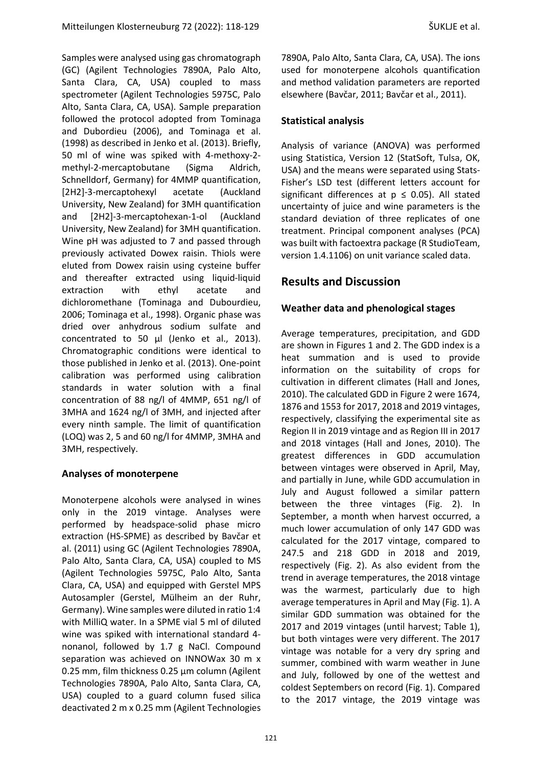Samples were analysed using gas chromatograph (GC) (Agilent Technologies 7890A, Palo Alto, Santa Clara, CA, USA) coupled to mass spectrometer (Agilent Technologies 5975C, Palo Alto, Santa Clara, CA, USA). Sample preparation followed the protocol adopted from Tominaga and Dubordieu (2006), and Tominaga et al. (1998) as described in Jenko et al. (2013). Briefly, 50 ml of wine was spiked with 4-methoxy-2 methyl-2-mercaptobutane (Sigma Aldrich, Schnelldorf, Germany) for 4MMP quantification, [2H2]-3-mercaptohexyl acetate (Auckland University, New Zealand) for 3MH quantification and [2H2]-3-mercaptohexan-1-ol (Auckland University, New Zealand) for 3MH quantification. Wine pH was adjusted to 7 and passed through previously activated Dowex raisin. Thiols were eluted from Dowex raisin using cysteine buffer and thereafter extracted using liquid-liquid extraction with ethyl acetate and dichloromethane (Tominaga and Dubourdieu, 2006; Tominaga et al., 1998). Organic phase was dried over anhydrous sodium sulfate and concentrated to 50 µl (Jenko et al., 2013). Chromatographic conditions were identical to those published in Jenko et al. (2013). One-point calibration was performed using calibration standards in water solution with a final concentration of 88 ng/l of 4MMP, 651 ng/l of 3MHA and 1624 ng/l of 3MH, and injected after every ninth sample. The limit of quantification (LOQ) was 2, 5 and 60 ng/l for 4MMP, 3MHA and 3MH, respectively.

## **Analyses of monoterpene**

Monoterpene alcohols were analysed in wines only in the 2019 vintage. Analyses were performed by headspace-solid phase micro extraction (HS-SPME) as described by [Bavčar et](#page-9-8)  [al. \(2011\)](#page-9-8) using GC (Agilent Technologies 7890A, Palo Alto, Santa Clara, CA, USA) coupled to MS (Agilent Technologies 5975C, Palo Alto, Santa Clara, CA, USA) and equipped with Gerstel MPS Autosampler (Gerstel, Mülheim an der Ruhr, Germany). Wine samples were diluted in ratio 1:4 with MilliQ water. In a SPME vial 5 ml of diluted wine was spiked with international standard 4 nonanol, followed by 1.7 g NaCl. Compound separation was achieved on INNOWax 30 m x 0.25 mm, film thickness 0.25 µm column (Agilent Technologies 7890A, Palo Alto, Santa Clara, CA, USA) coupled to a guard column fused silica deactivated 2 m x 0.25 mm (Agilent Technologies

### **Statistical analysis**

Analysis of variance (ANOVA) was performed using Statistica, Version 12 (StatSoft, Tulsa, OK, USA) and the means were separated using Stats-Fisher's LSD test (different letters account for significant differences at  $p \le 0.05$ ). All stated uncertainty of juice and wine parameters is the standard deviation of three replicates of one treatment. Principal component analyses (PCA) was built with factoextra package (R StudioTeam, version 1.4.1106) on unit variance scaled data.

# **Results and Discussion**

## **Weather data and phenological stages**

Average temperatures, precipitation, and GDD are shown in Figures 1 and 2. The GDD index is a heat summation and is used to provide information on the suitability of crops for cultivation in different climates (Hall and Jones, 2010). The calculated GDD in Figure 2 were 1674, 1876 and 1553 for 2017, 2018 and 2019 vintages, respectively, classifying the experimental site as Region II in 2019 vintage and as Region III in 2017 and 2018 vintages (Hall and Jones, 2010). The greatest differences in GDD accumulation between vintages were observed in April, May, and partially in June, while GDD accumulation in July and August followed a similar pattern between the three vintages (Fig. 2). In September, a month when harvest occurred, a much lower accumulation of only 147 GDD was calculated for the 2017 vintage, compared to 247.5 and 218 GDD in 2018 and 2019, respectively (Fig. 2). As also evident from the trend in average temperatures, the 2018 vintage was the warmest, particularly due to high average temperatures in April and May (Fig. 1). A similar GDD summation was obtained for the 2017 and 2019 vintages (until harvest; Table 1), but both vintages were very different. The 2017 vintage was notable for a very dry spring and summer, combined with warm weather in June and July, followed by one of the wettest and coldest Septembers on record (Fig. 1). Compared to the 2017 vintage, the 2019 vintage was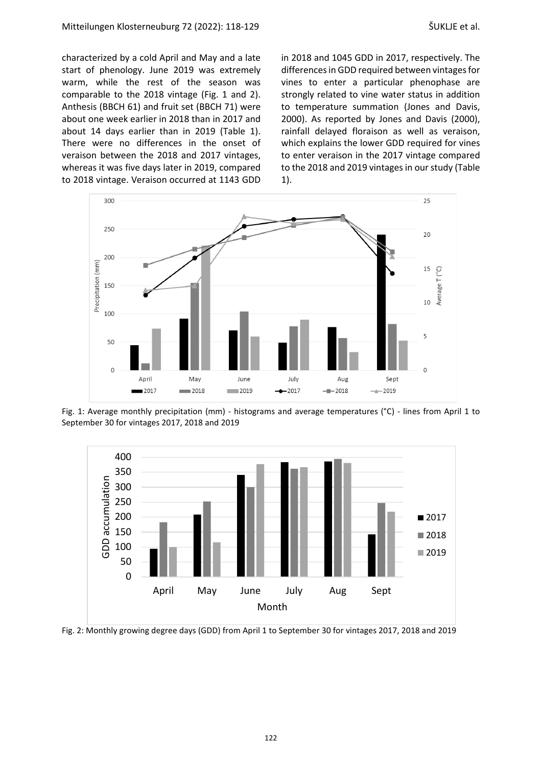characterized by a cold April and May and a late start of phenology. June 2019 was extremely warm, while the rest of the season was comparable to the 2018 vintage (Fig. 1 and 2). Anthesis (BBCH 61) and fruit set (BBCH 71) were about one week earlier in 2018 than in 2017 and about 14 days earlier than in 2019 (Table 1). There were no differences in the onset of veraison between the 2018 and 2017 vintages, whereas it was five days later in 2019, compared to 2018 vintage. Veraison occurred at 1143 GDD in 2018 and 1045 GDD in 2017, respectively. The differences in GDD required between vintages for vines to enter a particular phenophase are strongly related to vine water status in addition to temperature summation [\(Jones](#page-10-10) and Davis, [2000\)](#page-10-10). As reported by Jones and Davis [\(2000\),](#page-10-10) rainfall delayed floraison as well as veraison, which explains the lower GDD required for vines to enter veraison in the 2017 vintage compared to the 2018 and 2019 vintages in our study (Table 1).



Fig. 1: Average monthly precipitation (mm) - histograms and average temperatures (°C) - lines from April 1 to September 30 for vintages 2017, 2018 and 2019



Fig. 2: Monthly growing degree days (GDD) from April 1 to September 30 for vintages 2017, 2018 and 2019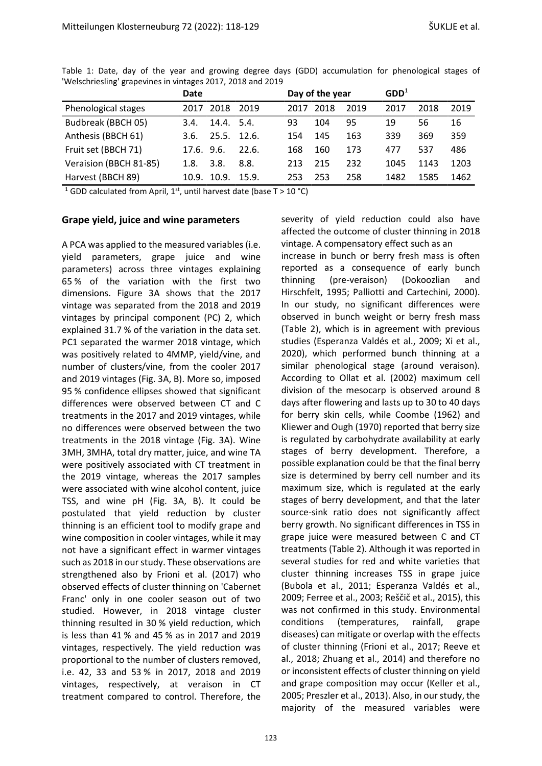|                        | Date       |            |       |      | Day of the year |      | $GDD^1$ |      |      |
|------------------------|------------|------------|-------|------|-----------------|------|---------|------|------|
| Phenological stages    | 2017       | 2018       | 2019  | 2017 | 2018            | 2019 | 2017    | 2018 | 2019 |
| Budbreak (BBCH 05)     | 3.4.       | 14.4.5.4.  |       | 93   | 104             | 95   | 19      | 56   | 16   |
| Anthesis (BBCH 61)     | 3.6.       | 25.5.12.6. |       | 154  | 145             | 163  | 339     | 369  | 359  |
| Fruit set (BBCH 71)    | 17.6, 9.6. |            | 22.6. | 168  | 160             | 173  | 477     | 537  | 486  |
| Veraision (BBCH 81-85) | 1.8.       | 3.8.       | 8.8.  | 213  | 215             | 232  | 1045    | 1143 | 1203 |
| Harvest (BBCH 89)      | 10.9.      | 10.9.      | 15.9. | 253  | 253             | 258  | 1482    | 1585 | 1462 |

Table 1: Date, day of the year and growing degree days (GDD) accumulation for phenological stages of 'Welschriesling' grapevines in vintages 2017, 2018 and 2019

<sup>1</sup> GDD calculated from April, 1<sup>st</sup>, until harvest date (base T > 10 °C)

#### **Grape yield, juice and wine parameters**

A PCA was applied to the measured variables(i.e. yield parameters, grape juice and wine parameters) across three vintages explaining 65 % of the variation with the first two dimensions. Figure 3A shows that the 2017 vintage was separated from the 2018 and 2019 vintages by principal component (PC) 2, which explained 31.7 % of the variation in the data set. PC1 separated the warmer 2018 vintage, which was positively related to 4MMP, yield/vine, and number of clusters/vine, from the cooler 2017 and 2019 vintages (Fig. 3A, B). More so, imposed 95 % confidence ellipses showed that significant differences were observed between CT and C treatments in the 2017 and 2019 vintages, while no differences were observed between the two treatments in the 2018 vintage (Fig. 3A). Wine 3MH, 3MHA, total dry matter, juice, and wine TA were positively associated with CT treatment in the 2019 vintage, whereas the 2017 samples were associated with wine alcohol content, juice TSS, and wine pH (Fig. 3A, B). It could be postulated that yield reduction by cluster thinning is an efficient tool to modify grape and wine composition in cooler vintages, while it may not have a significant effect in warmer vintages such as 2018 in our study. These observations are strengthened also by Frioni et al. [\(2017\)](#page-9-1) who observed effects of cluster thinning on 'Cabernet Franc' only in one cooler season out of two studied. However, in 2018 vintage cluster thinning resulted in 30 % yield reduction, which is less than 41 % and 45 % as in 2017 and 2019 vintages, respectively. The yield reduction was proportional to the number of clusters removed, i.e. 42, 33 and 53 % in 2017, 2018 and 2019 vintages, respectively, at veraison in CT treatment compared to control. Therefore, the

severity of yield reduction could also have affected the outcome of cluster thinning in 2018 vintage. A compensatory effect such as an

increase in bunch or berry fresh mass is often reported as a consequence of early bunch thinning (pre-veraison) [\(Dokoozlian](#page-9-10) and [Hirschfelt,](#page-9-10) 1995; Palliotti and [Cartechini,](#page-10-11) 2000). In our study, no significant differences were observed in bunch weight or berry fresh mass (Table 2), which is in agreement with previous studies [\(Esperanza](#page-9-11) Valdés et al., 2009; Xi et [al.,](#page-11-2) [2020\)](#page-11-2), which performed bunch thinning at a similar phenological stage (around veraison). According to Ollat et al. (2002) maximum cell division of the mesocarp is observed around 8 days after flowering and lasts up to 30 to 40 days for berry skin cells, while [Coombe](#page-9-12) (1962) and [Kliewer](#page-10-0) and Ough (1970) reported that berry size is regulated by carbohydrate availability at early stages of berry development. Therefore, a possible explanation could be that the final berry size is determined by berry cell number and its maximum size, which is regulated at the early stages of berry development, and that the later source-sink ratio does not significantly affect berry growth. No significant differences in TSS in grape juice were measured between C and CT treatments (Table 2). Although it was reported in several studies for red and white varieties that cluster thinning increases TSS in grape juice [\(Bubola](#page-9-2) et al., 2011; [Esperanza](#page-9-11) Valdés et al., [2009;](#page-9-11) [Ferree](#page-9-13) et al., 2003; [Reščič](#page-10-4) et al., 2015), this was not confirmed in this study. Environmental conditions (temperatures, rainfall, grape diseases) can mitigate or overlap with the effects of cluster thinning [\(Frioni](#page-9-1) et al., 2017; [Reeve](#page-10-12) et al., [2018;](#page-10-12) [Zhuang](#page-11-3) et al., 2014) and therefore no or inconsistent effects of cluster thinning on yield and grape composition may occur [\(Keller](#page-10-5) et al., [2005;](#page-10-5) [Preszler](#page-10-3) et al., 2013). Also, in our study, the majority of the measured variables were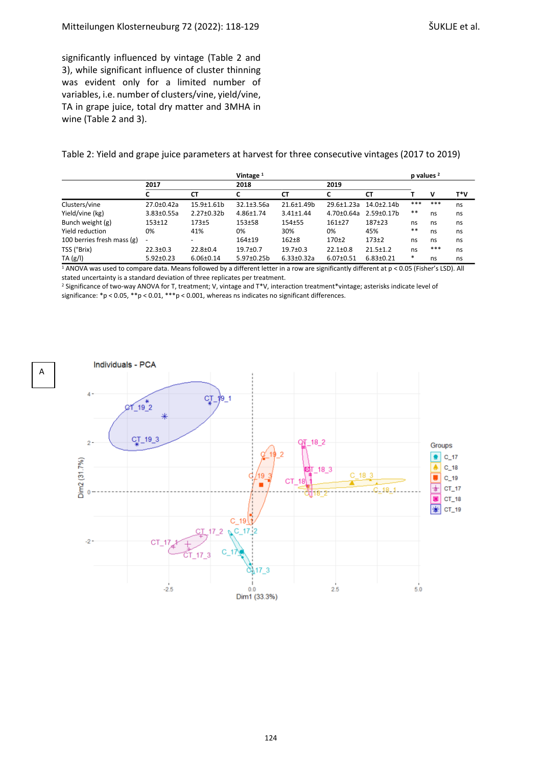significantly influenced by vintage (Table 2 and 3), while significant influence of cluster thinning was evident only for a limited number of variables, i.e. number of clusters/vine, yield/vine, TA in grape juice, total dry matter and 3MHA in wine (Table 2 and 3).

A

Table 2: Yield and grape juice parameters at harvest for three consecutive vintages (2017 to 2019)

|                            |                  |                          | Vintage <sup>1</sup> |                  |                 |                 |        | p values <sup>2</sup> |     |  |
|----------------------------|------------------|--------------------------|----------------------|------------------|-----------------|-----------------|--------|-----------------------|-----|--|
|                            | 2017             |                          | 2018                 |                  | 2019            |                 |        |                       |     |  |
|                            |                  | <b>CT</b>                |                      | <b>CT</b>        | C               | <b>CT</b>       |        | v                     | T*V |  |
| Clusters/vine              | 27.0±0.42a       | 15.9±1.61b               | $32.1 \pm 3.56a$     | 21.6±1.49b       | 29.6±1.23a      | $14.0 \pm 2.14$ | ***    | ***                   | ns  |  |
| Yield/vine (kg)            | $3.83 \pm 0.55a$ | 2.27±0.32b               | 4.86±1.74            | $3.41 \pm 1.44$  | 4.70±0.64a      | 2.59±0.17b      | $* *$  | ns                    | ns  |  |
| Bunch weight (g)           | $153 + 12$       | $173 + 5$                | 153±58               | 154±55           | $161 + 27$      | 187±23          | ns     | ns                    | ns  |  |
| Yield reduction            | 0%               | 41%                      | 0%                   | 30%              | 0%              | 45%             | $***$  | ns                    | ns  |  |
| 100 berries fresh mass (g) | ٠                | $\overline{\phantom{0}}$ | $164 + 19$           | $162 + 8$        | $170+2$         | $173+2$         | ns     | ns                    | ns  |  |
| TSS (°Brix)                | $22.3 \pm 0.3$   | $22.8 \pm 0.4$           | $19.7 \pm 0.7$       | $19.7 \pm 0.3$   | $22.1 \pm 0.8$  | $21.5 \pm 1.2$  | ns     | ***                   | ns  |  |
| TA(g/l)                    | $5.92 \pm 0.23$  | $6.06 \pm 0.14$          | 5.97±0.25b           | $6.33 \pm 0.32a$ | $6.07 \pm 0.51$ | $6.83 \pm 0.21$ | $\ast$ | ns                    | ns  |  |

 $\frac{1}{1}$  ANOVA was used to compare data. Means followed by a different letter in a row are significantly different at p < 0.05 (Fisher's LSD). All stated uncertainty is a standard deviation of three replicates per treatment.

<sup>2</sup> Significance of two-way ANOVA for T, treatment; V, vintage and T\*V, interaction treatment\*vintage; asterisks indicate level of significance: \*p < 0.05, \*\*p < 0.01, \*\*\*p < 0.001, whereas ns indicates no significant differences.

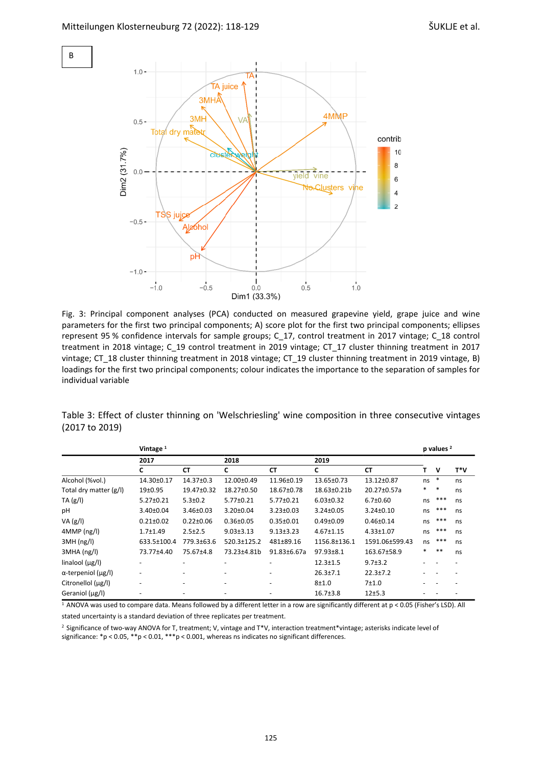B



Fig. 3: Principal component analyses (PCA) conducted on measured grapevine yield, grape juice and wine parameters for the first two principal components; A) score plot for the first two principal components; ellipses represent 95 % confidence intervals for sample groups; C\_17, control treatment in 2017 vintage; C\_18 control treatment in 2018 vintage; C\_19 control treatment in 2019 vintage; CT\_17 cluster thinning treatment in 2017 vintage; CT\_18 cluster thinning treatment in 2018 vintage; CT\_19 cluster thinning treatment in 2019 vintage, B) loadings for the first two principal components; colour indicates the importance to the separation of samples for individual variable

|                |  | Table 3: Effect of cluster thinning on 'Welschriesling' wine composition in three consecutive vintages |  |  |
|----------------|--|--------------------------------------------------------------------------------------------------------|--|--|
| (2017 to 2019) |  |                                                                                                        |  |  |

|                                  | Vintage <sup>1</sup>     |                 |                 |                 |                 |                 |    | p values <sup>2</sup> |     |  |
|----------------------------------|--------------------------|-----------------|-----------------|-----------------|-----------------|-----------------|----|-----------------------|-----|--|
|                                  | 2017                     |                 | 2018            |                 | 2019            |                 |    |                       |     |  |
|                                  | c                        | <b>CT</b>       | C               | <b>CT</b>       | C               | <b>CT</b>       | т  | v                     | T*V |  |
| Alcohol (%vol.)                  | 14.30±0.17               | 14.37±0.3       | 12.00±0.49      | 11.96±0.19      | 13.65±0.73      | 13.12±0.87      | ns | $\ast$                | ns  |  |
| Total dry matter (g/l)           | 19 <sub>±</sub> 0.95     | 19.47±0.32      | 18.27±0.50      | 18.67±0.78      | 18.63±0.21b     | 20.27±0.57a     | *  | *                     | ns  |  |
| TA(g/l)                          | $5.27 \pm 0.21$          | $5.3 \pm 0.2$   | 5.77±0.21       | 5.77±0.21       | $6.03 \pm 0.32$ | $6.7 \pm 0.60$  | ns | ***                   | ns  |  |
| рH                               | $3.40 \pm 0.04$          | $3.46 \pm 0.03$ | $3.20 \pm 0.04$ | $3.23 \pm 0.03$ | $3.24 \pm 0.05$ | $3.24 \pm 0.10$ | ns | $***$                 | ns  |  |
| VA(g/l)                          | $0.21 \pm 0.02$          | $0.22 \pm 0.06$ | $0.36 \pm 0.05$ | $0.35 \pm 0.01$ | $0.49 \pm 0.09$ | $0.46 \pm 0.14$ | ns | ***                   | ns  |  |
| 4MMP (ng/l)                      | $1.7 + 1.49$             | $2.5 \pm 2.5$   | $9.03 \pm 3.13$ | $9.13 \pm 3.23$ | $4.67 \pm 1.15$ | 4.33±1.07       | ns | ***                   | ns  |  |
| 3MH(ng/l)                        | 633.5±100.4              | 779.3±63.6      | 520.3±125.2     | 481±89.16       | 1156.8±136.1    | 1591.06±599.43  | ns | ***                   | ns  |  |
| 3MHA (ng/l)                      | 73.77±4.40               | 75.67±4.8       | 73.23±4.81b     | 91.83±6.67a     | 97.93±8.1       | 163.67±58.9     | *  | $**$                  | ns  |  |
| linalool $(\mu g/l)$             |                          |                 |                 |                 | $12.3 \pm 1.5$  | $9.7 \pm 3.2$   |    |                       |     |  |
| $\alpha$ -terpeniol ( $\mu$ g/l) | $\overline{\phantom{a}}$ |                 |                 |                 | $26.3 \pm 7.1$  | $22.3 \pm 7.2$  |    |                       |     |  |
| Citronellol (µg/l)               | $\overline{\phantom{0}}$ | -               |                 |                 | $8 + 1.0$       | 7±1.0           |    |                       |     |  |
| Geraniol (µg/l)                  |                          |                 |                 |                 | $16.7 \pm 3.8$  | 12±5.3          |    |                       |     |  |

 $1$  ANOVA was used to compare data. Means followed by a different letter in a row are significantly different at  $p < 0.05$  (Fisher's LSD). All stated uncertainty is a standard deviation of three replicates per treatment.

<sup>2</sup> Significance of two-way ANOVA for T, treatment; V, vintage and T\*V, interaction treatment\*vintage; asterisks indicate level of significance: \*p < 0.05, \*\*p < 0.01, \*\*\*p < 0.001, whereas ns indicates no significant differences.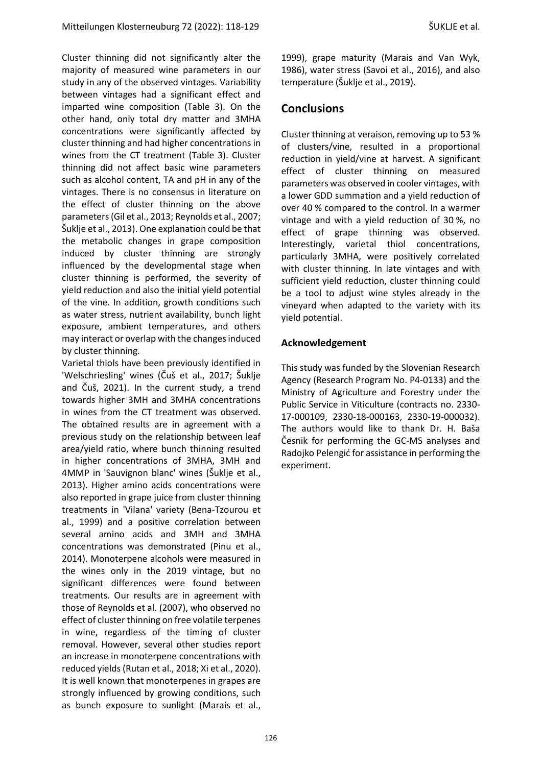Cluster thinning did not significantly alter the majority of measured wine parameters in our study in any of the observed vintages. Variability between vintages had a significant effect and imparted wine composition (Table 3). On the other hand, only total dry matter and 3MHA concentrations were significantly affected by cluster thinning and had higher concentrations in wines from the CT treatment (Table 3). Cluster thinning did not affect basic wine parameters such as alcohol content, TA and pH in any of the vintages. There is no consensus in literature on the effect of cluster thinning on the above parameters(Gil et al., [2013;](#page-9-14) [Reynolds](#page-10-13) et al., 2007; [Šuklje](#page-11-0) et al., 2013). One explanation could be that the metabolic changes in grape composition induced by cluster thinning are strongly influenced by the developmental stage when cluster thinning is performed, the severity of yield reduction and also the initial yield potential of the vine. In addition, growth conditions such as water stress, nutrient availability, bunch light exposure, ambient temperatures, and others may interact or overlap with the changes induced by cluster thinning.

Varietal thiols have been previously identified in 'Welschriesling' wines (Čuš et al., [2017;](#page-9-3) Šuklje and Čuš, 2021). In the current study, a trend towards higher 3MH and 3MHA concentrations in wines from the CT treatment was observed. The obtained results are in agreement with a previous study on the relationship between leaf area/yield ratio, where bunch thinning resulted in higher concentrations of 3MHA, 3MH and 4MMP in 'Sauvignon blanc' wines [\(Šuklje](#page-11-0) et al., [2013\)](#page-11-0). Higher amino acids concentrations were also reported in grape juice from cluster thinning treatments in 'Vilana' variety [\(Bena-Tzourou](#page-9-15) et al., [1999\)](#page-9-15) and a positive correlation between several amino acids and 3MH and 3MHA concentrations was demonstrated [\(Pinu](#page-10-14) et al., [2014\)](#page-10-14). Monoterpene alcohols were measured in the wines only in the 2019 vintage, but no significant differences were found between treatments. Our results are in agreement with those of [Reynolds](#page-10-13) et al. (2007), who observed no effect of cluster thinning on free volatile terpenes in wine, regardless of the timing of cluster removal. However, several other studies report an increase in monoterpene concentrations with reduced yields[\(Rutan](#page-11-4) et al., 2018; Xi et al., [2020\)](#page-11-2). It is well known that monoterpenes in grapes are strongly influenced by growing conditions, such as bunch exposure to sunlight (Marais et al.,

1999), grape maturity [\(Marais](#page-10-15) and Van Wyk, [1986\)](#page-10-15), water stress [\(Savoi](#page-11-5) et al., 2016), and also temperature [\(Šuklje](#page-11-6) et al., 2019).

### **Conclusions**

Cluster thinning at veraison, removing up to 53 % of clusters/vine, resulted in a proportional reduction in yield/vine at harvest. A significant effect of cluster thinning on measured parameters was observed in cooler vintages, with a lower GDD summation and a yield reduction of over 40 % compared to the control. In a warmer vintage and with a yield reduction of 30 %, no effect of grape thinning was observed. Interestingly, varietal thiol concentrations, particularly 3MHA, were positively correlated with cluster thinning. In late vintages and with sufficient yield reduction, cluster thinning could be a tool to adjust wine styles already in the vineyard when adapted to the variety with its yield potential.

#### **Acknowledgement**

This study was funded by the Slovenian Research Agency (Research Program No. P4-0133) and the Ministry of Agriculture and Forestry under the Public Service in Viticulture (contracts no. 2330- 17-000109, 2330-18-000163, 2330-19-000032). The authors would like to thank Dr. H. Baša Česnik for performing the GC-MS analyses and Radojko Pelengić for assistance in performing the experiment.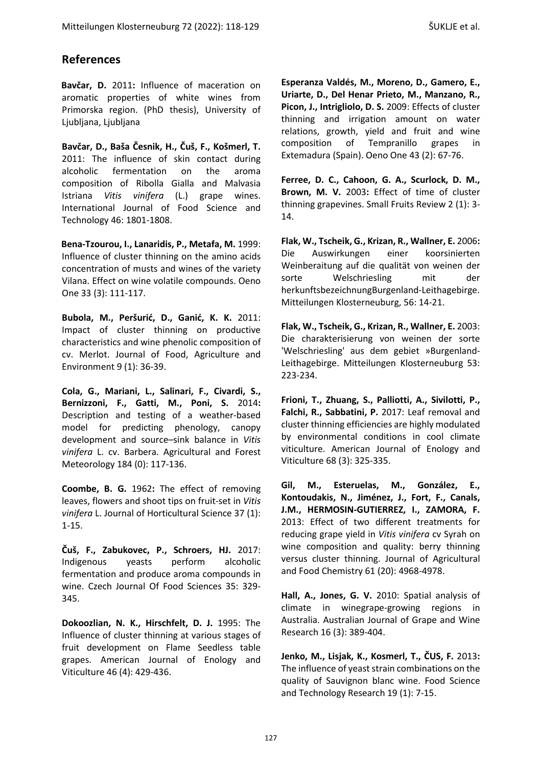# **References**

<span id="page-9-9"></span>**Bavčar, D.** 2011**:** Influence of maceration on aromatic properties of white wines from Primorska region. (PhD thesis), University of Ljubljana, Ljubljana

<span id="page-9-8"></span>**Bavčar, D., Baša Česnik, H., Čuš, F., Košmerl, T.**  2011: The influence of skin contact during alcoholic fermentation on the aroma composition of Ribolla Gialla and Malvasia Istriana *Vitis vinifera* (L.) grape wines. International Journal of Food Science and Technology 46: 1801-1808.

<span id="page-9-15"></span>**Bena-Tzourou, I., Lanaridis, P., Metafa, M.** 1999: Influence of cluster thinning on the amino acids concentration of musts and wines of the variety Vilana. Effect on wine volatile compounds. Oeno One 33 (3): 111-117.

<span id="page-9-2"></span>**Bubola, M., Peršurić, D., Ganić, K. K.** 2011: Impact of cluster thinning on productive characteristics and wine phenolic composition of cv. Merlot. Journal of Food, Agriculture and Environment 9 (1): 36-39.

<span id="page-9-0"></span>**Cola, G., Mariani, L., Salinari, F., Civardi, S., Bernizzoni, F., Gatti, M., Poni, S.** 2014**:** Description and testing of a weather-based model for predicting phenology, canopy development and source–sink balance in *Vitis vinifera* L. cv. Barbera. Agricultural and Forest Meteorology 184 (0): 117-136.

<span id="page-9-12"></span>**Coombe, B. G.** 1962**:** The effect of removing leaves, flowers and shoot tips on fruit-set in *Vitis vinifera* L. Journal of Horticultural Science 37 (1): 1-15.

<span id="page-9-3"></span>**Čuš, F., Zabukovec, P., Schroers, HJ.** 2017: Indigenous yeasts perform alcoholic fermentation and produce aroma compounds in wine. Czech Journal Of Food Sciences 35: 329- 345.

<span id="page-9-11"></span><span id="page-9-10"></span>**Dokoozlian, N. K., Hirschfelt, D. J.** 1995: The Influence of cluster thinning at various stages of fruit development on Flame Seedless table grapes. American Journal of Enology and Viticulture 46 (4): 429-436.

**Esperanza Valdés, M., Moreno, D., Gamero, E., Uriarte, D., Del Henar Prieto, M., Manzano, R., Picon, J., Intrigliolo, D. S.** 2009: Effects of cluster thinning and irrigation amount on water relations, growth, yield and fruit and wine composition of Tempranillo grapes in Extemadura (Spain). Oeno One 43 (2): 67-76.

<span id="page-9-13"></span>**Ferree, D. C., Cahoon, G. A., Scurlock, D. M., Brown, M. V.** 2003**:** Effect of time of cluster thinning grapevines. Small Fruits Review 2 (1): 3- 14.

<span id="page-9-4"></span>**Flak, W., Tscheik, G., Krizan, R., Wallner, E.** 2006**:** Die Auswirkungen einer koorsinierten Weinberaitung auf die qualität von weinen der sorte Welschriesling mit der herkunftsbezeichnungBurgenland-Leithagebirge. Mitteilungen Klosterneuburg, 56: 14-21.

<span id="page-9-5"></span>**Flak, W., Tscheik, G., Krizan, R., Wallner, E.** 2003: Die charakterisierung von weinen der sorte 'Welschriesling' aus dem gebiet »Burgenland-Leithagebirge. Mitteilungen Klosterneuburg 53: 223-234.

<span id="page-9-1"></span>**Frioni, T., Zhuang, S., Palliotti, A., Sivilotti, P., Falchi, R., Sabbatini, P.** 2017: Leaf removal and cluster thinning efficiencies are highly modulated by environmental conditions in cool climate viticulture. American Journal of Enology and Viticulture 68 (3): 325-335.

<span id="page-9-14"></span>**Gil, M., Esteruelas, M., González, E., Kontoudakis, N., Jiménez, J., Fort, F., Canals, J.M., HERMOSIN-GUTIERREZ, I., ZAMORA, F.**  2013: Effect of two different treatments for reducing grape yield in *Vitis vinifera* cv Syrah on wine composition and quality: berry thinning versus cluster thinning. Journal of Agricultural and Food Chemistry 61 (20): 4968-4978.

<span id="page-9-6"></span>**Hall, A., Jones, G. V.** 2010: Spatial analysis of climate in winegrape-growing regions in Australia. Australian Journal of Grape and Wine Research 16 (3): 389-404.

<span id="page-9-7"></span>**Jenko, M., Lisjak, K., Kosmerl, T., ČUS, F.** 2013**:**  The influence of yeast strain combinations on the quality of Sauvignon blanc wine. Food Science and Technology Research 19 (1): 7-15.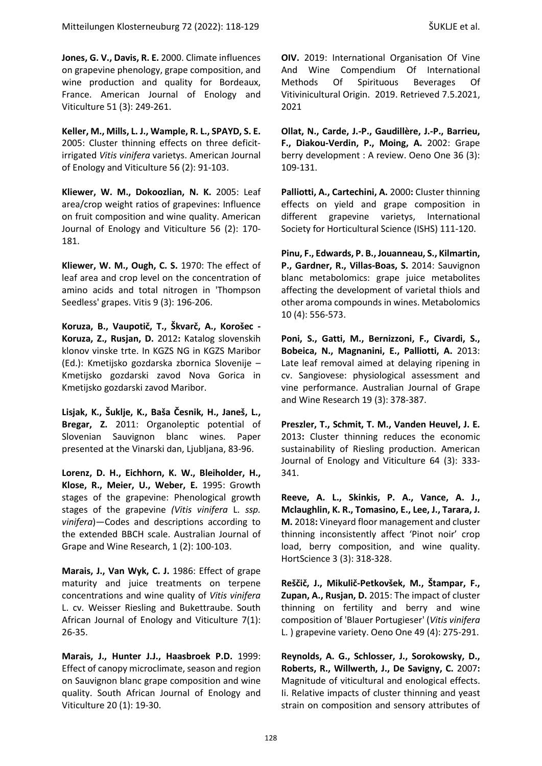<span id="page-10-10"></span>**Jones, G. V., Davis, R. E.** 2000. Climate influences on grapevine phenology, grape composition, and wine production and quality for Bordeaux, France. American Journal of Enology and Viticulture 51 (3): 249-261.

<span id="page-10-5"></span>**Keller, M., Mills, L. J., Wample, R. L., SPAYD, S. E.**  2005: Cluster thinning effects on three deficitirrigated *Vitis vinifera* varietys. American Journal of Enology and Viticulture 56 (2): 91-103.

<span id="page-10-1"></span>**Kliewer, W. M., Dokoozlian, N. K.** 2005: Leaf area/crop weight ratios of grapevines: Influence on fruit composition and wine quality. American Journal of Enology and Viticulture 56 (2): 170- 181.

<span id="page-10-0"></span>**Kliewer, W. M., Ough, C. S.** 1970: The effect of leaf area and crop level on the concentration of amino acids and total nitrogen in 'Thompson Seedless' grapes. Vitis 9 (3): 196-206.

<span id="page-10-7"></span>**Koruza, B., Vaupotič, T., Škvarč, A., Korošec - Koruza, Z., Rusjan, D.** 2012**:** Katalog slovenskih klonov vinske trte. In KGZS NG in KGZS Maribor (Ed.): Kmetijsko gozdarska zbornica Slovenije – Kmetijsko gozdarski zavod Nova Gorica in Kmetijsko gozdarski zavod Maribor.

<span id="page-10-6"></span>**Lisjak, K., Šuklje, K., Baša Česnik, H., Janeš, L., Bregar, Z.** 2011: Organoleptic potential of Slovenian Sauvignon blanc wines. Paper presented at the Vinarski dan, Ljubljana, 83-96.

<span id="page-10-8"></span>**Lorenz, D. H., Eichhorn, K. W., Bleiholder, H., Klose, R., Meier, U., Weber, E.** 1995: Growth stages of the grapevine: Phenological growth stages of the grapevine *(Vitis vinifera* L. *ssp. vinifera*)—Codes and descriptions according to the extended BBCH scale. Australian Journal of Grape and Wine Research, 1 (2): 100-103.

<span id="page-10-15"></span>Marais, J., Van Wyk, C. J. 1986: Effect of grape maturity and juice treatments on terpene concentrations and wine quality of *Vitis vinifera*  L. cv. Weisser Riesling and Bukettraube. South African Journal of Enology and Viticulture 7(1): 26-35.

**Marais, J., Hunter J.J., Haasbroek P.D.** 1999: Effect of canopy microclimate, season and region on Sauvignon blanc grape composition and wine quality. South African Journal of Enology and Viticulture 20 (1): 19-30.

<span id="page-10-9"></span>**OIV.** 2019: International Organisation Of Vine And Wine Compendium Of International Methods Of Spirituous Beverages Of Vitivinicultural Origin. 2019. Retrieved 7.5.2021, 2021

**Ollat, N., Carde, J.-P., Gaudillère, J.-P., Barrieu, F., Diakou-Verdin, P., Moing, A.** 2002: Grape berry development : A review. Oeno One 36 (3): 109-131.

<span id="page-10-11"></span>**Palliotti, A., Cartechini, A.** 2000**:** Cluster thinning effects on yield and grape composition in different grapevine varietys, International Society for Horticultural Science (ISHS) 111-120.

<span id="page-10-14"></span>**Pinu, F., Edwards, P. B., Jouanneau, S., Kilmartin, P., Gardner, R., Villas-Boas, S.** 2014: Sauvignon blanc metabolomics: grape juice metabolites affecting the development of varietal thiols and other aroma compounds in wines. Metabolomics 10 (4): 556-573.

<span id="page-10-2"></span>**Poni, S., Gatti, M., Bernizzoni, F., Civardi, S., Bobeica, N., Magnanini, E., Palliotti, A.** 2013: Late leaf removal aimed at delaying ripening in cv. Sangiovese: physiological assessment and vine performance. Australian Journal of Grape and Wine Research 19 (3): 378-387.

<span id="page-10-3"></span>**Preszler, T., Schmit, T. M., Vanden Heuvel, J. E.**  2013**:** Cluster thinning reduces the economic sustainability of Riesling production. American Journal of Enology and Viticulture 64 (3): 333- 341.

<span id="page-10-12"></span>**Reeve, A. L., Skinkis, P. A., Vance, A. J., Mclaughlin, K. R., Tomasino, E., Lee, J., Tarara, J. M.** 2018**:** Vineyard floor management and cluster thinning inconsistently affect 'Pinot noir' crop load, berry composition, and wine quality. HortScience 3 (3): 318-328.

<span id="page-10-4"></span>**Reščič, J., Mikulič-Petkovšek, M., Štampar, F., Zupan, A., Rusjan, D.** 2015: The impact of cluster thinning on fertility and berry and wine composition of 'Blauer Portugieser' (*Vitis vinifera* L. ) grapevine variety. Oeno One 49 (4): 275-291.

<span id="page-10-13"></span>**Reynolds, A. G., Schlosser, J., Sorokowsky, D., Roberts, R., Willwerth, J., De Savigny, C.** 2007**:** Magnitude of viticultural and enological effects. Ii. Relative impacts of cluster thinning and yeast strain on composition and sensory attributes of